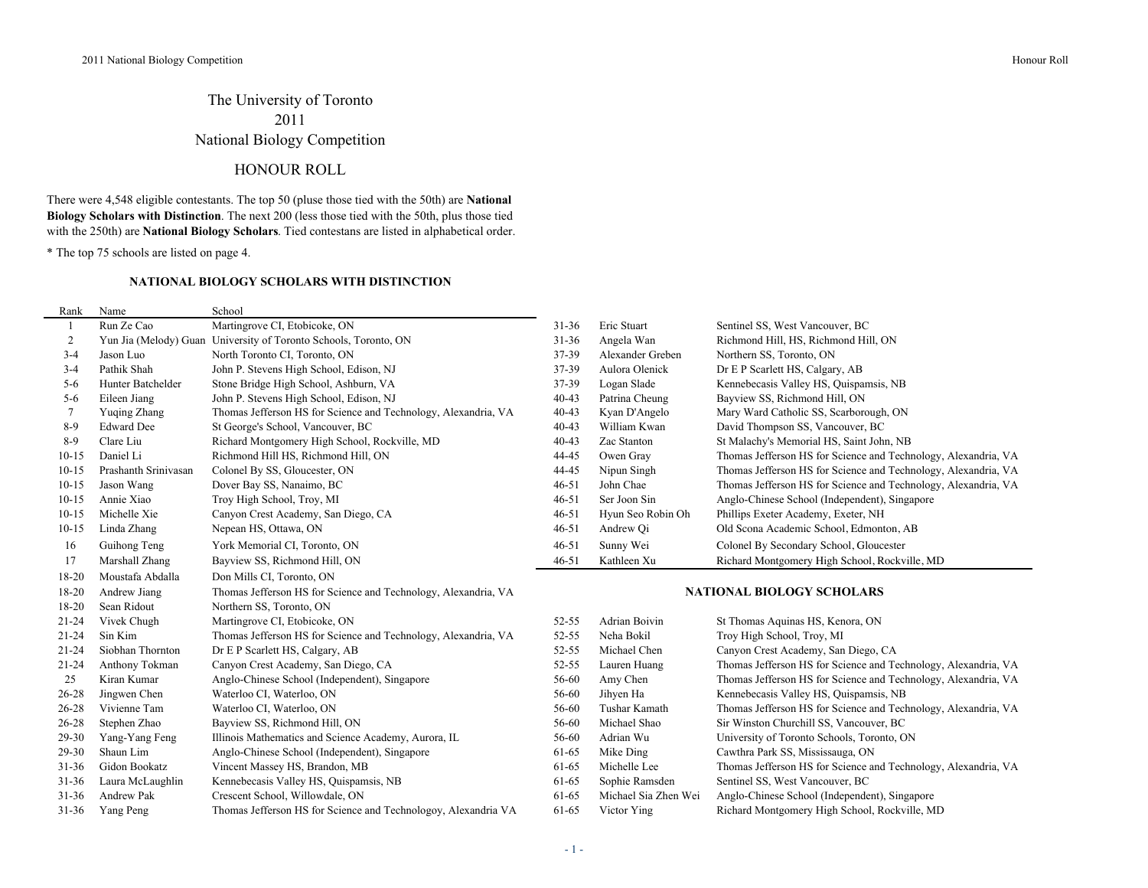## The University of Toronto 2011 National Biology Competition

## HONOUR ROLL

There were 4,548 eligible contestants. The top 50 (pluse those tied with the 50th) are **National Biology Scholars with Distinction**. The next 200 (less those tied with the 50th, plus those tied with the 250th) are **National Biology Scholars**. Tied contestans are listed in alphabetical order.

\* The top 75 schools are listed on page 4.

#### **NATIONAL BIOLOGY SCHOLARS WITH DISTINCTION**

| Rank           | Name                 | School                                                           |           |                                                       |                                                                |  |
|----------------|----------------------|------------------------------------------------------------------|-----------|-------------------------------------------------------|----------------------------------------------------------------|--|
|                | Run Ze Cao           | Martingrove CI, Etobicoke, ON                                    | $31 - 36$ | Eric Stuart                                           | Sentinel SS, West Vancouver, BC                                |  |
| $\overline{c}$ |                      | Yun Jia (Melody) Guan University of Toronto Schools, Toronto, ON | $31 - 36$ | Angela Wan<br>Richmond Hill, HS, Richmond Hill, ON    |                                                                |  |
| $3 - 4$        | Jason Luo            | North Toronto CI, Toronto, ON                                    | 37-39     | Northern SS, Toronto, ON<br>Alexander Greben          |                                                                |  |
| $3 - 4$        | Pathik Shah          | John P. Stevens High School, Edison, NJ                          | 37-39     | Aulora Olenick                                        | Dr E P Scarlett HS, Calgary, AB                                |  |
| $5 - 6$        | Hunter Batchelder    | Stone Bridge High School, Ashburn, VA                            | 37-39     | Logan Slade<br>Kennebecasis Valley HS, Quispamsis, NB |                                                                |  |
| $5-6$          | Eileen Jiang         | John P. Stevens High School, Edison, NJ                          | $40 - 43$ | Patrina Cheung<br>Bayview SS, Richmond Hill, ON       |                                                                |  |
| 7              | Yuging Zhang         | Thomas Jefferson HS for Science and Technology, Alexandria, VA   | $40 - 43$ | Kyan D'Angelo                                         | Mary Ward Catholic SS, Scarborough, ON                         |  |
| $8-9$          | <b>Edward Dee</b>    | St George's School, Vancouver, BC                                | $40 - 43$ | William Kwan                                          | David Thompson SS, Vancouver, BC                               |  |
| $8-9$          | Clare Liu            | Richard Montgomery High School, Rockville, MD                    | $40 - 43$ | Zac Stanton                                           | St Malachy's Memorial HS, Saint John, NB                       |  |
| $10 - 15$      | Daniel Li            | Richmond Hill HS, Richmond Hill, ON                              | 44-45     | Owen Gray                                             | Thomas Jefferson HS for Science and Technology, Alexandria, VA |  |
| $10 - 15$      | Prashanth Srinivasan | Colonel By SS, Gloucester, ON                                    | 44-45     | Nipun Singh                                           | Thomas Jefferson HS for Science and Technology, Alexandria, VA |  |
| $10 - 15$      | Jason Wang           | Dover Bay SS, Nanaimo, BC                                        | $46 - 51$ | John Chae                                             | Thomas Jefferson HS for Science and Technology, Alexandria, VA |  |
| $10 - 15$      | Annie Xiao           | Troy High School, Troy, MI                                       | $46 - 51$ | Ser Joon Sin                                          | Anglo-Chinese School (Independent), Singapore                  |  |
| $10 - 15$      | Michelle Xie         | Canyon Crest Academy, San Diego, CA                              | $46 - 51$ | Hyun Seo Robin Oh                                     | Phillips Exeter Academy, Exeter, NH                            |  |
| $10 - 15$      | Linda Zhang          | Nepean HS, Ottawa, ON                                            | $46 - 51$ | Andrew Qi                                             | Old Scona Academic School, Edmonton, AB                        |  |
| 16             | Guihong Teng         | York Memorial CI, Toronto, ON                                    | $46 - 51$ | Sunny Wei                                             | Colonel By Secondary School, Gloucester                        |  |
| 17             | Marshall Zhang       | Bayview SS, Richmond Hill, ON                                    | $46 - 51$ | Kathleen Xu                                           | Richard Montgomery High School, Rockville, MD                  |  |
| 18-20          | Moustafa Abdalla     | Don Mills CI, Toronto, ON                                        |           |                                                       |                                                                |  |
| 18-20          | Andrew Jiang         | Thomas Jefferson HS for Science and Technology, Alexandria, VA   |           | <b>NATIONAL BIOLOGY SCHOLARS</b>                      |                                                                |  |
| 18-20          | Sean Ridout          | Northern SS, Toronto, ON                                         |           |                                                       |                                                                |  |
| $21 - 24$      | Vivek Chugh          | Martingrove CI, Etobicoke, ON                                    | 52-55     | Adrian Boivin                                         | St Thomas Aquinas HS, Kenora, ON                               |  |
| $21 - 24$      | Sin Kim              | Thomas Jefferson HS for Science and Technology, Alexandria, VA   | 52-55     | Neha Bokil                                            | Troy High School, Troy, MI                                     |  |
| 21-24          | Siobhan Thornton     | Dr E P Scarlett HS, Calgary, AB                                  | 52-55     | Michael Chen                                          | Canyon Crest Academy, San Diego, CA                            |  |
| 21-24          | Anthony Tokman       | Canyon Crest Academy, San Diego, CA                              | 52-55     | Lauren Huang                                          | Thomas Jefferson HS for Science and Technology, Alexandria, VA |  |
| 25             | Kiran Kumar          | Anglo-Chinese School (Independent), Singapore                    | 56-60     | Amy Chen                                              | Thomas Jefferson HS for Science and Technology, Alexandria, VA |  |
| 26-28          | Jingwen Chen         | Waterloo CI, Waterloo, ON                                        | 56-60     | Jihyen Ha                                             | Kennebecasis Valley HS, Quispamsis, NB                         |  |
| 26-28          | Vivienne Tam         | Waterloo CI, Waterloo, ON                                        | 56-60     | Tushar Kamath                                         | Thomas Jefferson HS for Science and Technology, Alexandria, VA |  |
| 26-28          | Stephen Zhao         | Bayview SS, Richmond Hill, ON                                    | 56-60     | Michael Shao                                          | Sir Winston Churchill SS, Vancouver, BC                        |  |
| 29-30          | Yang-Yang Feng       | Illinois Mathematics and Science Academy, Aurora, IL             | 56-60     | Adrian Wu                                             | University of Toronto Schools, Toronto, ON                     |  |
| 29-30          | Shaun Lim            | Anglo-Chinese School (Independent), Singapore                    | 61-65     | Mike Ding                                             | Cawthra Park SS, Mississauga, ON                               |  |
| $31 - 36$      | Gidon Bookatz        | Vincent Massey HS, Brandon, MB                                   | 61-65     | Michelle Lee                                          | Thomas Jefferson HS for Science and Technology, Alexandria, VA |  |
| $31 - 36$      | Laura McLaughlin     | Kennebecasis Valley HS, Quispamsis, NB                           | 61-65     | Sophie Ramsden                                        | Sentinel SS, West Vancouver, BC                                |  |
| $31 - 36$      | Andrew Pak           | Crescent School, Willowdale, ON                                  | 61-65     | Michael Sia Zhen Wei                                  | Anglo-Chinese School (Independent), Singapore                  |  |
| $31 - 36$      | Yang Peng            | Thomas Jefferson HS for Science and Technologoy, Alexandria VA   | 61-65     | Victor Ying                                           | Richard Montgomery High School, Rockville, MD                  |  |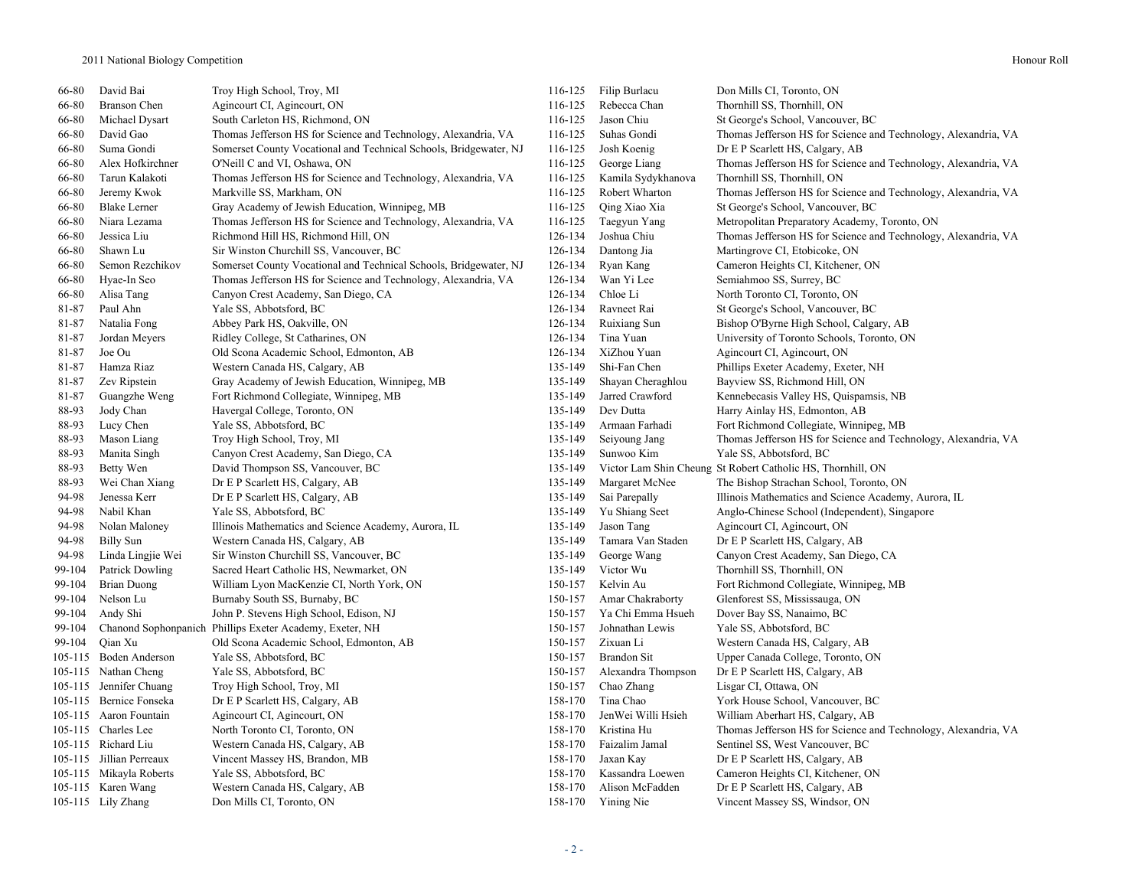| 66-80  | David Bai                | Troy High School, Troy, MI                                        | 116-125 | Filip Burlacu      | Don Mills CI, Toronto, ON                                      |
|--------|--------------------------|-------------------------------------------------------------------|---------|--------------------|----------------------------------------------------------------|
| 66-80  | Branson Chen             | Agincourt CI, Agincourt, ON                                       | 116-125 | Rebecca Chan       | Thornhill SS, Thornhill, ON                                    |
| 66-80  | Michael Dysart           | South Carleton HS, Richmond, ON                                   | 116-125 | Jason Chiu         | St George's School, Vancouver, BC                              |
| 66-80  | David Gao                | Thomas Jefferson HS for Science and Technology, Alexandria, VA    | 116-125 | Suhas Gondi        | Thomas Jefferson HS for Science and Technology, Alexandria, VA |
| 66-80  | Suma Gondi               | Somerset County Vocational and Technical Schools, Bridgewater, NJ | 116-125 | Josh Koenig        | Dr E P Scarlett HS, Calgary, AB                                |
| 66-80  | Alex Hofkirchner         | O'Neill C and VI, Oshawa, ON                                      | 116-125 | George Liang       | Thomas Jefferson HS for Science and Technology, Alexandria, VA |
| 66-80  | Tarun Kalakoti           | Thomas Jefferson HS for Science and Technology, Alexandria, VA    | 116-125 | Kamila Sydykhanova | Thornhill SS, Thornhill, ON                                    |
| 66-80  | Jeremy Kwok              | Markville SS, Markham, ON                                         | 116-125 | Robert Wharton     | Thomas Jefferson HS for Science and Technology, Alexandria, VA |
| 66-80  | <b>Blake Lerner</b>      | Gray Academy of Jewish Education, Winnipeg, MB                    | 116-125 | Qing Xiao Xia      | St George's School, Vancouver, BC                              |
| 66-80  | Niara Lezama             | Thomas Jefferson HS for Science and Technology, Alexandria, VA    | 116-125 | Taegyun Yang       | Metropolitan Preparatory Academy, Toronto, ON                  |
| 66-80  | Jessica Liu              | Richmond Hill HS, Richmond Hill, ON                               | 126-134 | Joshua Chiu        | Thomas Jefferson HS for Science and Technology, Alexandria, VA |
| 66-80  | Shawn Lu                 | Sir Winston Churchill SS, Vancouver, BC                           | 126-134 | Dantong Jia        | Martingrove CI, Etobicoke, ON                                  |
| 66-80  | Semon Rezchikov          | Somerset County Vocational and Technical Schools, Bridgewater, NJ | 126-134 | Ryan Kang          | Cameron Heights CI, Kitchener, ON                              |
| 66-80  | Hyae-In Seo              | Thomas Jefferson HS for Science and Technology, Alexandria, VA    | 126-134 | Wan Yi Lee         | Semiahmoo SS, Surrey, BC                                       |
| 66-80  | Alisa Tang               | Canyon Crest Academy, San Diego, CA                               | 126-134 | Chloe Li           | North Toronto CI, Toronto, ON                                  |
| 81-87  | Paul Ahn                 | Yale SS, Abbotsford, BC                                           | 126-134 | Ravneet Rai        | St George's School, Vancouver, BC                              |
| 81-87  | Natalia Fong             | Abbey Park HS, Oakville, ON                                       | 126-134 | Ruixiang Sun       | Bishop O'Byrne High School, Calgary, AB                        |
| 81-87  | Jordan Meyers            | Ridley College, St Catharines, ON                                 | 126-134 | Tina Yuan          | University of Toronto Schools, Toronto, ON                     |
| 81-87  | Joe Ou                   | Old Scona Academic School, Edmonton, AB                           | 126-134 | XiZhou Yuan        | Agincourt CI, Agincourt, ON                                    |
| 81-87  | Hamza Riaz               | Western Canada HS, Calgary, AB                                    | 135-149 | Shi-Fan Chen       | Phillips Exeter Academy, Exeter, NH                            |
| 81-87  | Zev Ripstein             | Gray Academy of Jewish Education, Winnipeg, MB                    | 135-149 | Shayan Cheraghlou  | Bayview SS, Richmond Hill, ON                                  |
| 81-87  | Guangzhe Weng            | Fort Richmond Collegiate, Winnipeg, MB                            | 135-149 | Jarred Crawford    | Kennebecasis Valley HS, Quispamsis, NB                         |
| 88-93  | Jody Chan                | Havergal College, Toronto, ON                                     | 135-149 | Dev Dutta          | Harry Ainlay HS, Edmonton, AB                                  |
| 88-93  | Lucy Chen                | Yale SS, Abbotsford, BC                                           | 135-149 | Armaan Farhadi     | Fort Richmond Collegiate, Winnipeg, MB                         |
| 88-93  | Mason Liang              | Troy High School, Troy, MI                                        | 135-149 | Seiyoung Jang      | Thomas Jefferson HS for Science and Technology, Alexandria, VA |
| 88-93  | Manita Singh             | Canyon Crest Academy, San Diego, CA                               | 135-149 | Sunwoo Kim         | Yale SS, Abbotsford, BC                                        |
| 88-93  | Betty Wen                | David Thompson SS, Vancouver, BC                                  | 135-149 |                    | Victor Lam Shin Cheung St Robert Catholic HS, Thornhill, ON    |
| 88-93  | Wei Chan Xiang           | Dr E P Scarlett HS, Calgary, AB                                   | 135-149 | Margaret McNee     | The Bishop Strachan School, Toronto, ON                        |
| 94-98  | Jenessa Kerr             | Dr E P Scarlett HS, Calgary, AB                                   | 135-149 | Sai Parepally      | Illinois Mathematics and Science Academy, Aurora, IL           |
| 94-98  | Nabil Khan               | Yale SS, Abbotsford, BC                                           | 135-149 | Yu Shiang Seet     | Anglo-Chinese School (Independent), Singapore                  |
| 94-98  | Nolan Maloney            | Illinois Mathematics and Science Academy, Aurora, IL              | 135-149 | Jason Tang         | Agincourt CI, Agincourt, ON                                    |
| 94-98  | <b>Billy Sun</b>         | Western Canada HS, Calgary, AB                                    | 135-149 | Tamara Van Staden  | Dr E P Scarlett HS, Calgary, AB                                |
| 94-98  | Linda Lingjie Wei        | Sir Winston Churchill SS, Vancouver, BC                           | 135-149 | George Wang        | Canyon Crest Academy, San Diego, CA                            |
| 99-104 | Patrick Dowling          | Sacred Heart Catholic HS, Newmarket, ON                           | 135-149 | Victor Wu          | Thornhill SS, Thornhill, ON                                    |
| 99-104 | <b>Brian Duong</b>       | William Lyon MacKenzie CI, North York, ON                         | 150-157 | Kelvin Au          | Fort Richmond Collegiate, Winnipeg, MB                         |
| 99-104 | Nelson Lu                | Burnaby South SS, Burnaby, BC                                     | 150-157 | Amar Chakraborty   | Glenforest SS, Mississauga, ON                                 |
| 99-104 | Andy Shi                 | John P. Stevens High School, Edison, NJ                           | 150-157 | Ya Chi Emma Hsueh  | Dover Bay SS, Nanaimo, BC                                      |
| 99-104 |                          | Chanond Sophonpanich Phillips Exeter Academy, Exeter, NH          | 150-157 | Johnathan Lewis    | Yale SS, Abbotsford, BC                                        |
| 99-104 | Qian Xu                  | Old Scona Academic School, Edmonton, AB                           | 150-157 | Zixuan Li          | Western Canada HS, Calgary, AB                                 |
|        | 105-115 Boden Anderson   | Yale SS, Abbotsford, BC                                           | 150-157 | <b>Brandon Sit</b> | Upper Canada College, Toronto, ON                              |
|        | 105-115 Nathan Cheng     | Yale SS, Abbotsford, BC                                           | 150-157 | Alexandra Thompson | Dr E P Scarlett HS, Calgary, AB                                |
|        | 105-115 Jennifer Chuang  | Troy High School, Troy, MI                                        | 150-157 | Chao Zhang         | Lisgar CI, Ottawa, ON                                          |
|        | 105-115 Bernice Fonseka  | Dr E P Scarlett HS, Calgary, AB                                   | 158-170 | Tina Chao          | York House School, Vancouver, BC                               |
|        | 105-115 Aaron Fountain   | Agincourt CI, Agincourt, ON                                       | 158-170 | JenWei Willi Hsieh | William Aberhart HS, Calgary, AB                               |
|        | 105-115 Charles Lee      | North Toronto CI, Toronto, ON                                     | 158-170 | Kristina Hu        | Thomas Jefferson HS for Science and Technology, Alexandria, VA |
|        | 105-115 Richard Liu      | Western Canada HS, Calgary, AB                                    | 158-170 | Faizalim Jamal     | Sentinel SS, West Vancouver, BC                                |
|        | 105-115 Jillian Perreaux | Vincent Massey HS, Brandon, MB                                    | 158-170 | Jaxan Kay          | Dr E P Scarlett HS, Calgary, AB                                |
|        | 105-115 Mikayla Roberts  | Yale SS, Abbotsford, BC                                           | 158-170 | Kassandra Loewen   | Cameron Heights CI, Kitchener, ON                              |
|        | 105-115 Karen Wang       | Western Canada HS, Calgary, AB                                    | 158-170 | Alison McFadden    | Dr E P Scarlett HS, Calgary, AB                                |
|        | 105-115 Lily Zhang       | Don Mills CI, Toronto, ON                                         | 158-170 | Yining Nie         | Vincent Massey SS, Windsor, ON                                 |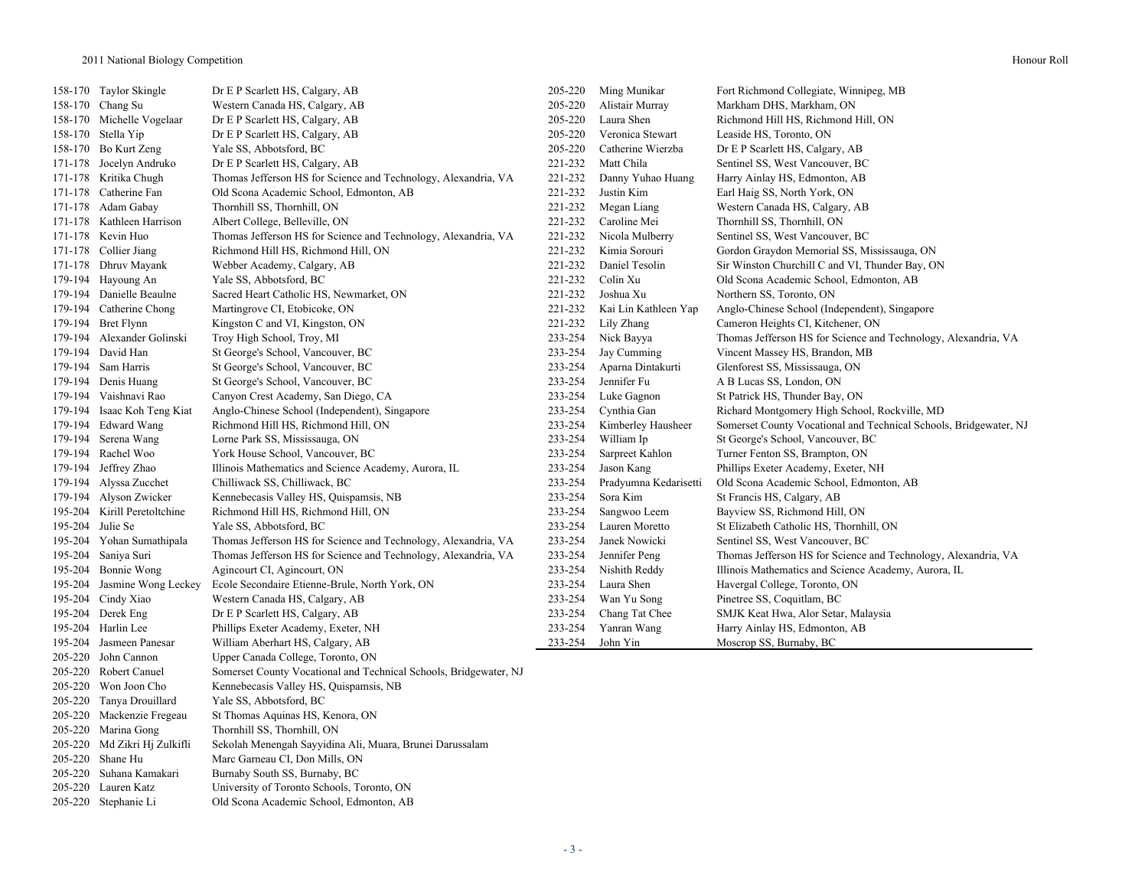|         | 158-170 Taylor Skingle       | Dr E P Scarlett HS, Calgary, AB                                   | 205-220 | Ming Munikar          | Fort Richmond Collegiate, Winnipeg, MB                            |
|---------|------------------------------|-------------------------------------------------------------------|---------|-----------------------|-------------------------------------------------------------------|
|         | 158-170 Chang Su             | Western Canada HS, Calgary, AB                                    | 205-220 | Alistair Murray       | Markham DHS, Markham, ON                                          |
|         | 158-170 Michelle Vogelaar    | Dr E P Scarlett HS, Calgary, AB                                   | 205-220 | Laura Shen            | Richmond Hill HS, Richmond Hill, ON                               |
|         | 158-170 Stella Yip           | Dr E P Scarlett HS, Calgary, AB                                   | 205-220 | Veronica Stewart      | Leaside HS, Toronto, ON                                           |
|         | 158-170 Bo Kurt Zeng         | Yale SS, Abbotsford, BC                                           | 205-220 | Catherine Wierzba     | Dr E P Scarlett HS, Calgary, AB                                   |
| 171-178 | Jocelyn Andruko              | Dr E P Scarlett HS, Calgary, AB                                   | 221-232 | Matt Chila            | Sentinel SS, West Vancouver, BC                                   |
| 171-178 | Kritika Chugh                | Thomas Jefferson HS for Science and Technology, Alexandria, VA    | 221-232 | Danny Yuhao Huang     | Harry Ainlay HS, Edmonton, AB                                     |
|         | 171-178 Catherine Fan        | Old Scona Academic School, Edmonton, AB                           | 221-232 | Justin Kim            | Earl Haig SS, North York, ON                                      |
| 171-178 | Adam Gabay                   | Thornhill SS, Thornhill, ON                                       | 221-232 | Megan Liang           | Western Canada HS, Calgary, AB                                    |
|         | 171-178 Kathleen Harrison    | Albert College, Belleville, ON                                    | 221-232 | Caroline Mei          | Thornhill SS, Thornhill, ON                                       |
|         | 171-178 Kevin Huo            | Thomas Jefferson HS for Science and Technology, Alexandria, VA    | 221-232 | Nicola Mulberry       | Sentinel SS, West Vancouver, BC                                   |
|         | 171-178 Collier Jiang        | Richmond Hill HS, Richmond Hill, ON                               | 221-232 | Kimia Sorouri         | Gordon Graydon Memorial SS, Mississauga, ON                       |
|         | 171-178 Dhruv Mayank         | Webber Academy, Calgary, AB                                       | 221-232 | Daniel Tesolin        | Sir Winston Churchill C and VI, Thunder Bay, ON                   |
|         | 179-194 Hayoung An           | Yale SS, Abbotsford, BC                                           | 221-232 | Colin Xu              | Old Scona Academic School, Edmonton, AB                           |
|         | 179-194 Danielle Beaulne     | Sacred Heart Catholic HS, Newmarket, ON                           | 221-232 | Joshua Xu             | Northern SS, Toronto, ON                                          |
|         | 179-194 Catherine Chong      | Martingrove CI, Etobicoke, ON                                     | 221-232 | Kai Lin Kathleen Yap  | Anglo-Chinese School (Independent), Singapore                     |
|         | 179-194 Bret Flynn           | Kingston C and VI, Kingston, ON                                   | 221-232 | Lily Zhang            | Cameron Heights CI, Kitchener, ON                                 |
| 179-194 | Alexander Golinski           | Troy High School, Troy, MI                                        | 233-254 | Nick Bayya            | Thomas Jefferson HS for Science and Technology, Alexandria, VA    |
|         | 179-194 David Han            | St George's School, Vancouver, BC                                 | 233-254 | Jay Cumming           | Vincent Massey HS, Brandon, MB                                    |
| 179-194 | Sam Harris                   | St George's School, Vancouver, BC                                 | 233-254 | Aparna Dintakurti     | Glenforest SS, Mississauga, ON                                    |
|         | 179-194 Denis Huang          | St George's School, Vancouver, BC                                 | 233-254 | Jennifer Fu           | A B Lucas SS, London, ON                                          |
| 179-194 | Vaishnavi Rao                | Canyon Crest Academy, San Diego, CA                               | 233-254 | Luke Gagnon           | St Patrick HS, Thunder Bay, ON                                    |
| 179-194 | Isaac Koh Teng Kiat          | Anglo-Chinese School (Independent), Singapore                     | 233-254 | Cynthia Gan           | Richard Montgomery High School, Rockville, MD                     |
| 179-194 | Edward Wang                  | Richmond Hill HS, Richmond Hill, ON                               | 233-254 | Kimberley Hausheer    | Somerset County Vocational and Technical Schools, Bridgewater, NJ |
|         | 179-194 Serena Wang          | Lorne Park SS, Mississauga, ON                                    | 233-254 | William Ip            | St George's School, Vancouver, BC                                 |
| 179-194 | Rachel Woo                   | York House School, Vancouver, BC                                  | 233-254 | Sarpreet Kahlon       | Turner Fenton SS, Brampton, ON                                    |
| 179-194 | Jeffrey Zhao                 | Illinois Mathematics and Science Academy, Aurora, IL              | 233-254 | Jason Kang            | Phillips Exeter Academy, Exeter, NH                               |
| 179-194 | Alyssa Zucchet               | Chilliwack SS, Chilliwack, BC                                     | 233-254 | Pradyumna Kedarisetti | Old Scona Academic School, Edmonton, AB                           |
|         | 179-194 Alyson Zwicker       | Kennebecasis Valley HS, Quispamsis, NB                            | 233-254 | Sora Kim              | St Francis HS, Calgary, AB                                        |
| 195-204 | Kirill Peretoltchine         | Richmond Hill HS, Richmond Hill, ON                               | 233-254 | Sangwoo Leem          | Bayview SS, Richmond Hill, ON                                     |
| 195-204 | Julie Se                     | Yale SS, Abbotsford, BC                                           | 233-254 | Lauren Moretto        | St Elizabeth Catholic HS, Thornhill, ON                           |
|         | 195-204 Yohan Sumathipala    | Thomas Jefferson HS for Science and Technology, Alexandria, VA    | 233-254 | Janek Nowicki         | Sentinel SS, West Vancouver, BC                                   |
|         | 195-204 Saniya Suri          | Thomas Jefferson HS for Science and Technology, Alexandria, VA    | 233-254 | Jennifer Peng         | Thomas Jefferson HS for Science and Technology, Alexandria, VA    |
|         | 195-204 Bonnie Wong          | Agincourt CI, Agincourt, ON                                       | 233-254 | Nishith Reddy         | Illinois Mathematics and Science Academy, Aurora, IL              |
| 195-204 | Jasmine Wong Leckey          | Ecole Secondaire Etienne-Brule, North York, ON                    | 233-254 | Laura Shen            | Havergal College, Toronto, ON                                     |
| 195-204 | Cindy Xiao                   | Western Canada HS, Calgary, AB                                    | 233-254 | Wan Yu Song           | Pinetree SS, Coquitlam, BC                                        |
|         | 195-204 Derek Eng            | Dr E P Scarlett HS, Calgary, AB                                   | 233-254 | Chang Tat Chee        | SMJK Keat Hwa, Alor Setar, Malaysia                               |
|         | 195-204 Harlin Lee           | Phillips Exeter Academy, Exeter, NH                               | 233-254 | Yanran Wang           | Harry Ainlay HS, Edmonton, AB                                     |
|         | 195-204 Jasmeen Panesar      | William Aberhart HS, Calgary, AB                                  | 233-254 | John Yin              | Moscrop SS, Burnaby, BC                                           |
| 205-220 | John Cannon                  | Upper Canada College, Toronto, ON                                 |         |                       |                                                                   |
|         | 205-220 Robert Canuel        | Somerset County Vocational and Technical Schools, Bridgewater, NJ |         |                       |                                                                   |
|         | 205-220 Won Joon Cho         | Kennebecasis Valley HS, Quispamsis, NB                            |         |                       |                                                                   |
|         | 205-220 Tanya Drouillard     | Yale SS, Abbotsford, BC                                           |         |                       |                                                                   |
|         | 205-220 Mackenzie Fregeau    | St Thomas Aquinas HS, Kenora, ON                                  |         |                       |                                                                   |
|         | 205-220 Marina Gong          | Thornhill SS, Thornhill, ON                                       |         |                       |                                                                   |
|         | 205-220 Md Zikri Hj Zulkifli | Sekolah Menengah Sayyidina Ali, Muara, Brunei Darussalam          |         |                       |                                                                   |
|         |                              |                                                                   |         |                       |                                                                   |

205-220 Shane Hu Marc Garneau CI, Don Mills, ON<br>205-220 Suhana Kamakari Burnaby South SS, Burnaby, BC

Burnaby South SS, Burnaby, BC

205-220 Lauren Katz University of Toronto Schools, Toronto, ON 205-220 Stephanie Li Old Scona Academic School, Edmonton, AB